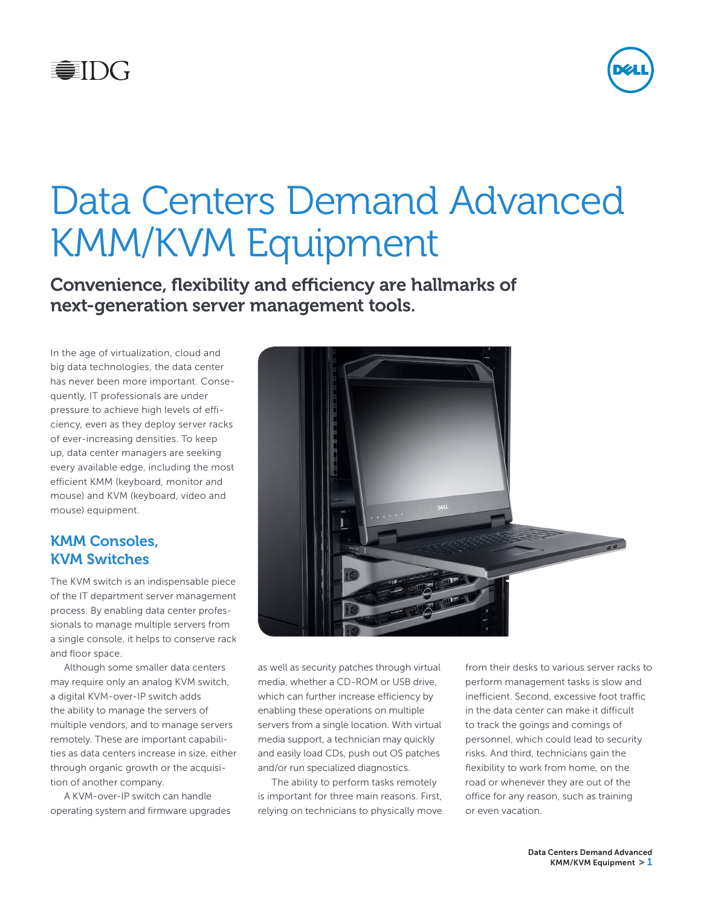



# Data Centers Demand Advanced KMM/KVM Equipment

Convenience, flexibility and efficiency are hallmarks of next-generation server management tools.

In the age of virtualization, cloud and big data technologies, the data center has never been more important. Consequently, IT professionals are under pressure to achieve high levels of efficiency, even as they deploy server racks of ever-increasing densities. To keep up, data center managers are seeking every available edge, including the most efficient KMM (keyboard, monitor and mouse) and KVM (keyboard, video and mouse) equipment.

#### KMM Consoles, KVM Switches

The KVM switch is an indispensable piece of the IT department server management process. By enabling data center professionals to manage multiple servers from a single console, it helps to conserve rack and floor space.

Although some smaller data centers may require only an analog KVM switch, a digital KVM-over-IP switch adds the ability to manage the servers of multiple vendors, and to manage servers remotely. These are important capabilities as data centers increase in size, either through organic growth or the acquisition of another company.

A KVM-over-IP switch can handle operating system and firmware upgrades



as well as security patches through virtual media, whether a CD-ROM or USB drive, which can further increase efficiency by enabling these operations on multiple servers from a single location. With virtual media support, a technician may quickly and easily load CDs, push out OS patches and/or run specialized diagnostics.

The ability to perform tasks remotely is important for three main reasons. First, relying on technicians to physically move from their desks to various server racks to perform management tasks is slow and inefficient. Second, excessive foot traffic in the data center can make it difficult to track the goings and comings of personnel, which could lead to security risks. And third, technicians gain the flexibility to work from home, on the road or whenever they are out of the office for any reason, such as training or even vacation.